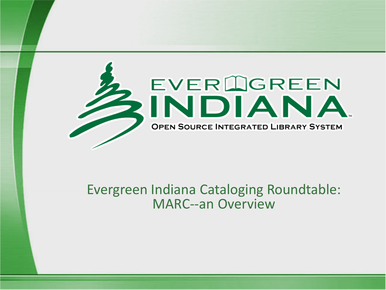

#### Evergreen Indiana Cataloging Roundtable: MARC--an Overview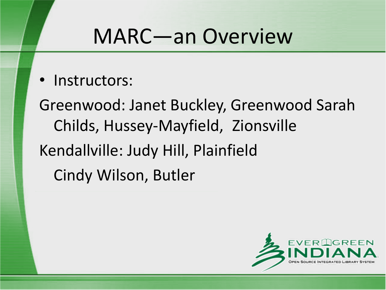• Instructors:

Greenwood: Janet Buckley, Greenwood Sarah Childs, Hussey-Mayfield, Zionsville Kendallville: Judy Hill, Plainfield Cindy Wilson, Butler

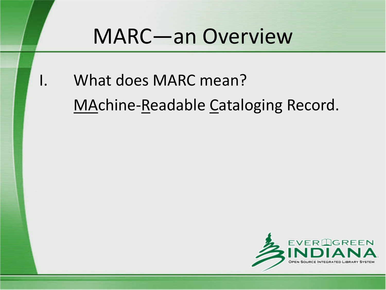I. What does MARC mean? MAchine-Readable Cataloging Record.

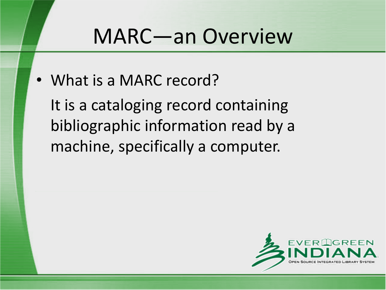• What is a MARC record?

It is a cataloging record containing bibliographic information read by a machine, specifically a computer.

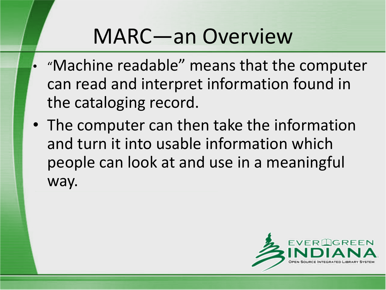- "Machine readable" means that the computer can read and interpret information found in the cataloging record.
- The computer can then take the information and turn it into usable information which people can look at and use in a meaningful way.

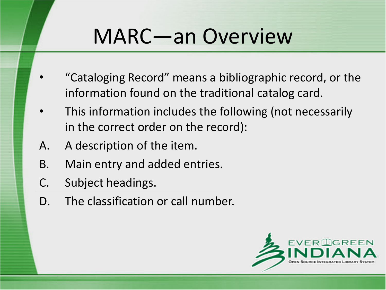- "Cataloging Record" means a bibliographic record, or the information found on the traditional catalog card.
- This information includes the following (not necessarily in the correct order on the record):
- A. A description of the item.
- B. Main entry and added entries.
- C. Subject headings.
- D. The classification or call number.

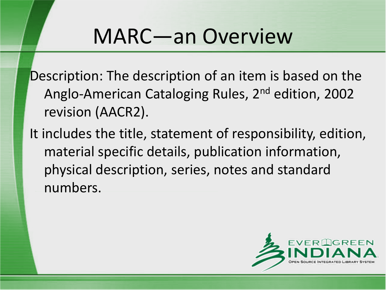Description: The description of an item is based on the Anglo-American Cataloging Rules, 2nd edition, 2002 revision (AACR2).

It includes the title, statement of responsibility, edition, material specific details, publication information, physical description, series, notes and standard numbers.

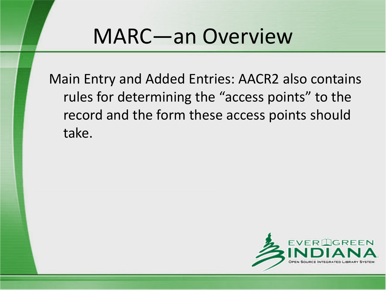Main Entry and Added Entries: AACR2 also contains rules for determining the "access points" to the record and the form these access points should take.

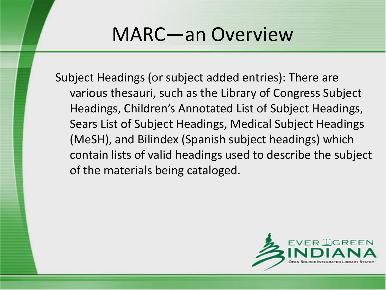Subject Headings (or subject added entries): There are various thesauri, such as the Library of Congress Subject Headings, Children's Annotated List of Subject Headings, Sears List of Subject Headings, Medical Subject Headings (MeSH), and Bilindex (Spanish subject headings) which contain lists of valid headings used to describe the subject of the materials being cataloged.

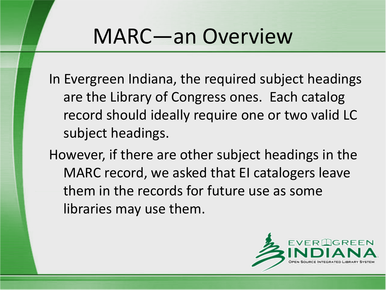In Evergreen Indiana, the required subject headings are the Library of Congress ones. Each catalog record should ideally require one or two valid LC subject headings.

However, if there are other subject headings in the MARC record, we asked that EI catalogers leave them in the records for future use as some libraries may use them.

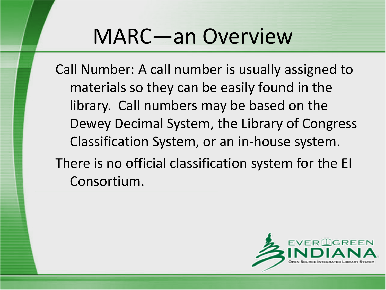Call Number: A call number is usually assigned to materials so they can be easily found in the library. Call numbers may be based on the Dewey Decimal System, the Library of Congress Classification System, or an in-house system. There is no official classification system for the EI Consortium.

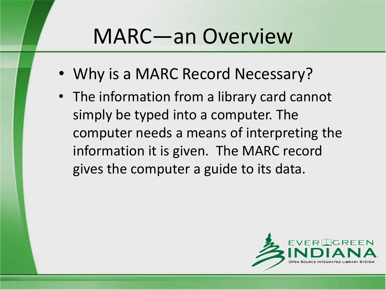- Why is a MARC Record Necessary?
- The information from a library card cannot simply be typed into a computer. The computer needs a means of interpreting the information it is given. The MARC record gives the computer a guide to its data.

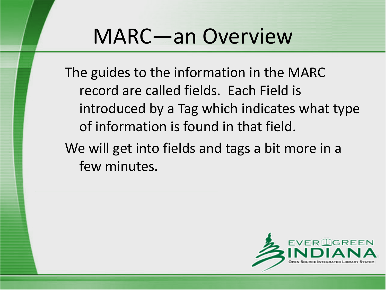The guides to the information in the MARC record are called fields. Each Field is introduced by a Tag which indicates what type of information is found in that field.

We will get into fields and tags a bit more in a few minutes.

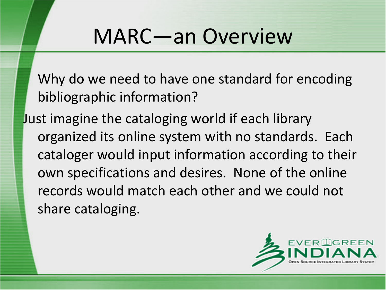Why do we need to have one standard for encoding bibliographic information?

Just imagine the cataloging world if each library organized its online system with no standards. Each cataloger would input information according to their own specifications and desires. None of the online records would match each other and we could not share cataloging.

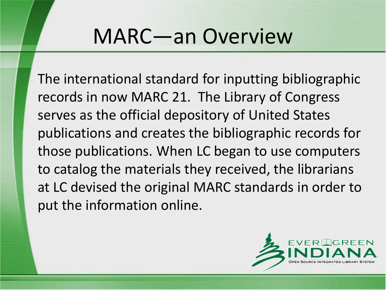The international standard for inputting bibliographic records in now MARC 21. The Library of Congress serves as the official depository of United States publications and creates the bibliographic records for those publications. When LC began to use computers to catalog the materials they received, the librarians at LC devised the original MARC standards in order to put the information online.

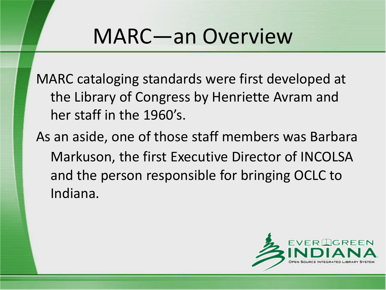MARC cataloging standards were first developed at the Library of Congress by Henriette Avram and her staff in the 1960's.

As an aside, one of those staff members was Barbara Markuson, the first Executive Director of INCOLSA and the person responsible for bringing OCLC to Indiana.

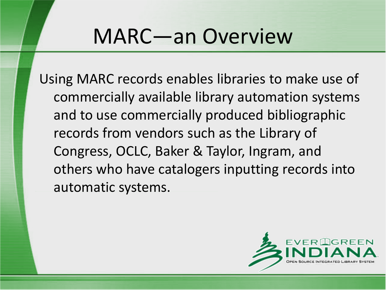Using MARC records enables libraries to make use of commercially available library automation systems and to use commercially produced bibliographic records from vendors such as the Library of Congress, OCLC, Baker & Taylor, Ingram, and others who have catalogers inputting records into automatic systems.

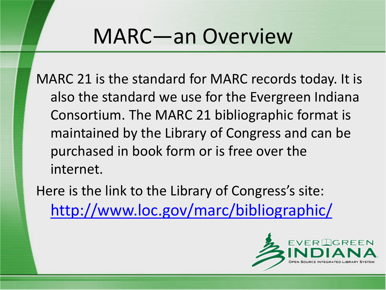MARC 21 is the standard for MARC records today. It is also the standard we use for the Evergreen Indiana Consortium. The MARC 21 bibliographic format is maintained by the Library of Congress and can be purchased in book form or is free over the internet.

Here is the link to the Library of Congress's site: <http://www.loc.gov/marc/bibliographic/>

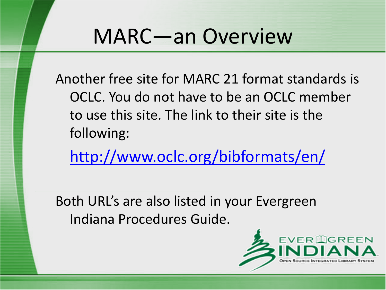Another free site for MARC 21 format standards is OCLC. You do not have to be an OCLC member to use this site. The link to their site is the following:

<http://www.oclc.org/bibformats/en/>

Both URL's are also listed in your Evergreen Indiana Procedures Guide.

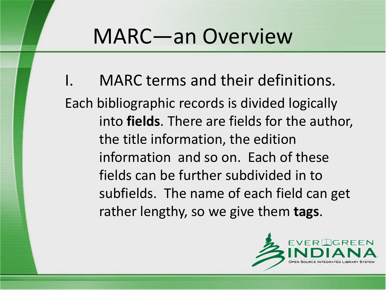MARC terms and their definitions. Each bibliographic records is divided logically into **fields**. There are fields for the author, the title information, the edition information and so on. Each of these fields can be further subdivided in to subfields. The name of each field can get rather lengthy, so we give them **tags**.

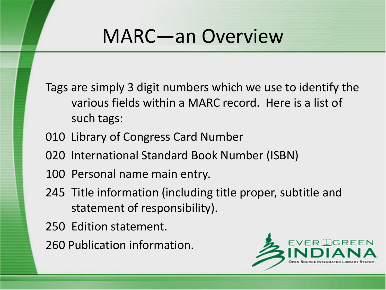Tags are simply 3 digit numbers which we use to identify the various fields within a MARC record. Here is a list of such tags:

- 010 Library of Congress Card Number
- 020 International Standard Book Number (ISBN)
- 100 Personal name main entry.
- 245 Title information (including title proper, subtitle and statement of responsibility).
- 250 Edition statement.
- 260 Publication information.

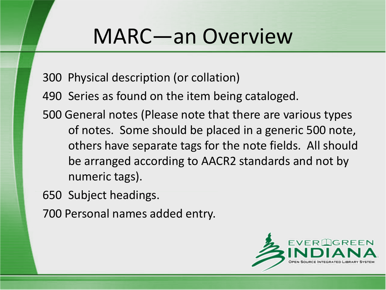- 300 Physical description (or collation)
- 490 Series as found on the item being cataloged.
- 500 General notes (Please note that there are various types of notes. Some should be placed in a generic 500 note, others have separate tags for the note fields. All should be arranged according to AACR2 standards and not by numeric tags).
- 650 Subject headings.
- 700 Personal names added entry.

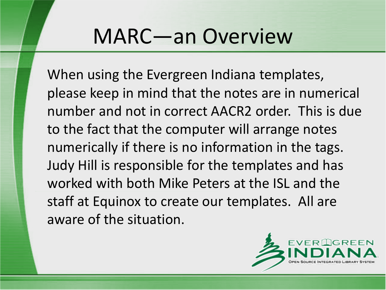When using the Evergreen Indiana templates, please keep in mind that the notes are in numerical number and not in correct AACR2 order. This is due to the fact that the computer will arrange notes numerically if there is no information in the tags. Judy Hill is responsible for the templates and has worked with both Mike Peters at the ISL and the staff at Equinox to create our templates. All are aware of the situation.

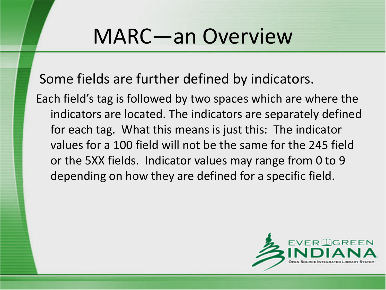Some fields are further defined by indicators.

Each field's tag is followed by two spaces which are where the indicators are located. The indicators are separately defined for each tag. What this means is just this: The indicator values for a 100 field will not be the same for the 245 field or the 5XX fields. Indicator values may range from 0 to 9 depending on how they are defined for a specific field.

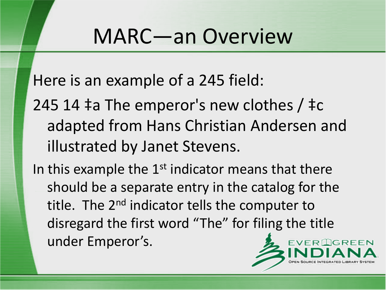Here is an example of a 245 field:

245 14 ‡a The emperor's new clothes / ‡c adapted from Hans Christian Andersen and illustrated by Janet Stevens.

In this example the  $1<sup>st</sup>$  indicator means that there should be a separate entry in the catalog for the title. The 2<sup>nd</sup> indicator tells the computer to disregard the first word "The" for filing the title under Emperor's.

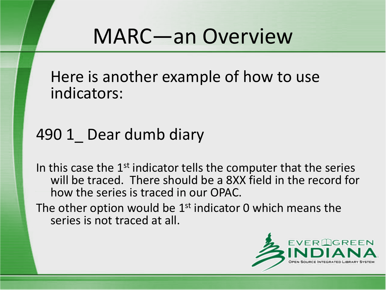Here is another example of how to use indicators:

#### 490 1 Dear dumb diary

In this case the  $1<sup>st</sup>$  indicator tells the computer that the series will be traced. There should be a 8XX field in the record for how the series is traced in our OPAC.

The other option would be  $1<sup>st</sup>$  indicator 0 which means the series is not traced at all.

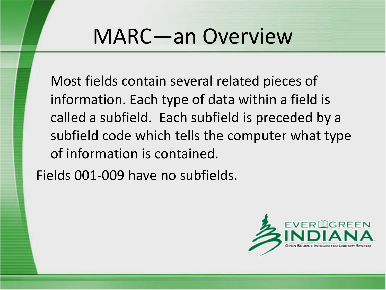Most fields contain several related pieces of information. Each type of data within a field is called a subfield. Each subfield is preceded by a subfield code which tells the computer what type of information is contained.

Fields 001-009 have no subfields.

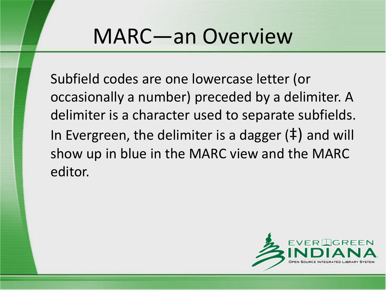Subfield codes are one lowercase letter (or occasionally a number) preceded by a delimiter. A delimiter is a character used to separate subfields. In Evergreen, the delimiter is a dagger (‡) and will show up in blue in the MARC view and the MARC editor.

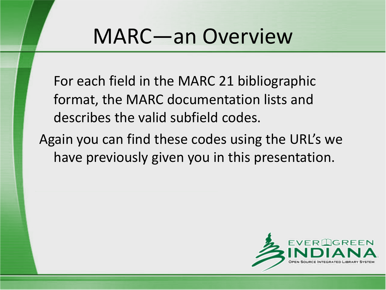For each field in the MARC 21 bibliographic format, the MARC documentation lists and describes the valid subfield codes.

Again you can find these codes using the URL's we have previously given you in this presentation.

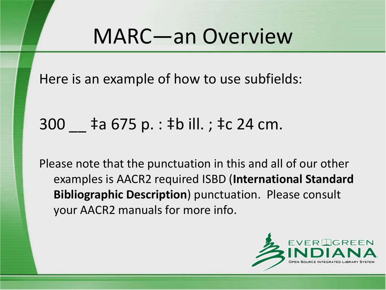Here is an example of how to use subfields:

#### 300 \_\_ ‡a 675 p. : ‡b ill. ; ‡c 24 cm.

Please note that the punctuation in this and all of our other examples is AACR2 required ISBD (**International Standard Bibliographic Description**) punctuation. Please consult your AACR2 manuals for more info.

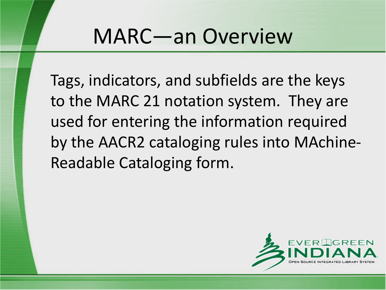Tags, indicators, and subfields are the keys to the MARC 21 notation system. They are used for entering the information required by the AACR2 cataloging rules into MAchine-Readable Cataloging form.

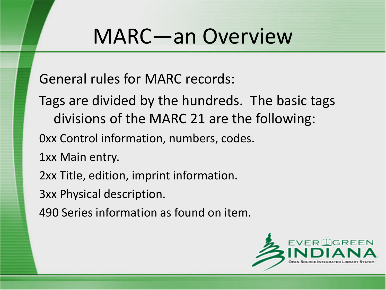General rules for MARC records:

Tags are divided by the hundreds. The basic tags divisions of the MARC 21 are the following:

0xx Control information, numbers, codes.

1xx Main entry.

2xx Title, edition, imprint information.

3xx Physical description.

490 Series information as found on item.

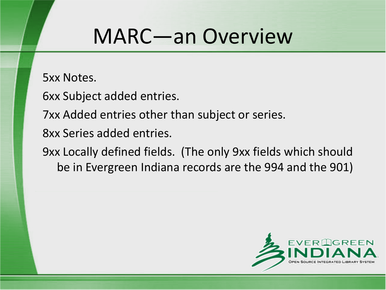5xx Notes.

6xx Subject added entries.

7xx Added entries other than subject or series.

8xx Series added entries.

9xx Locally defined fields. (The only 9xx fields which should be in Evergreen Indiana records are the 994 and the 901)

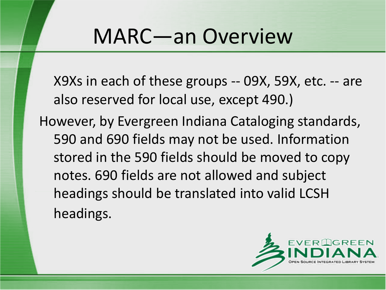X9Xs in each of these groups -- 09X, 59X, etc. -- are also reserved for local use, except 490.)

However, by Evergreen Indiana Cataloging standards, 590 and 690 fields may not be used. Information stored in the 590 fields should be moved to copy notes. 690 fields are not allowed and subject headings should be translated into valid LCSH headings.

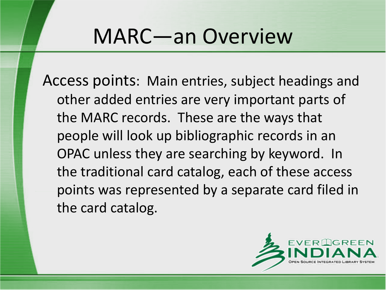Access points: Main entries, subject headings and other added entries are very important parts of the MARC records. These are the ways that people will look up bibliographic records in an OPAC unless they are searching by keyword. In the traditional card catalog, each of these access points was represented by a separate card filed in the card catalog.

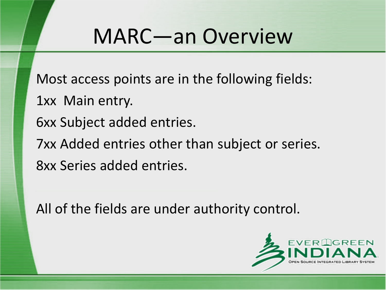Most access points are in the following fields:

- 1xx Main entry.
- 6xx Subject added entries.
- 7xx Added entries other than subject or series.
- 8xx Series added entries.

All of the fields are under authority control.

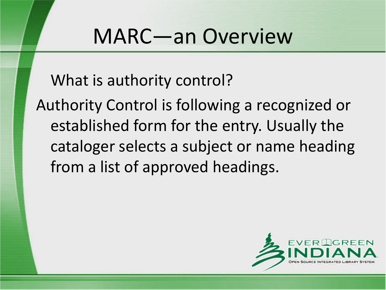What is authority control?

Authority Control is following a recognized or established form for the entry. Usually the cataloger selects a subject or name heading from a list of approved headings.

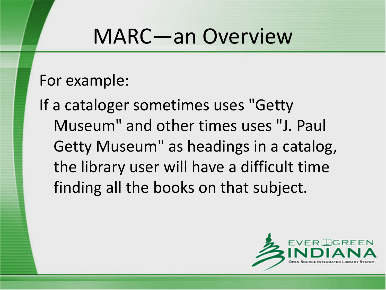For example:

If a cataloger sometimes uses "Getty Museum" and other times uses "J. Paul Getty Museum" as headings in a catalog, the library user will have a difficult time finding all the books on that subject.

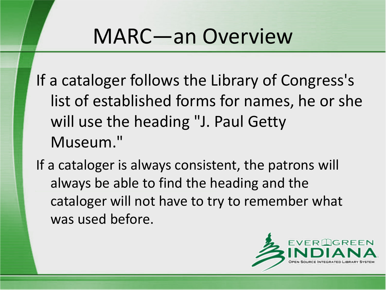If a cataloger follows the Library of Congress's list of established forms for names, he or she will use the heading "J. Paul Getty Museum."

If a cataloger is always consistent, the patrons will always be able to find the heading and the cataloger will not have to try to remember what was used before.

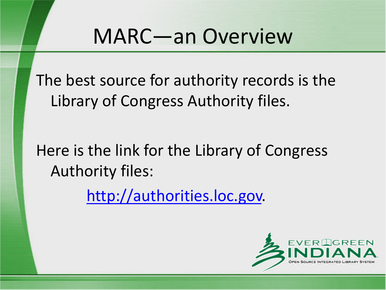The best source for authority records is the Library of Congress Authority files.

Here is the link for the Library of Congress Authority files:

[http://authorities.loc.gov.](http://authorities.loc.gov/)

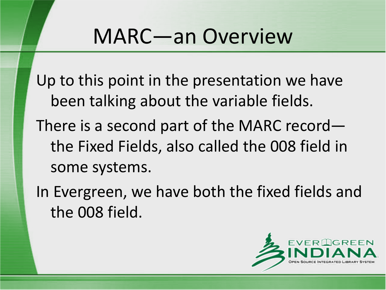Up to this point in the presentation we have been talking about the variable fields.

- There is a second part of the MARC record the Fixed Fields, also called the 008 field in some systems.
- In Evergreen, we have both the fixed fields and the 008 field.

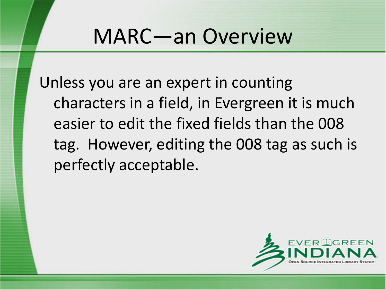Unless you are an expert in counting characters in a field, in Evergreen it is much easier to edit the fixed fields than the 008 tag. However, editing the 008 tag as such is perfectly acceptable.

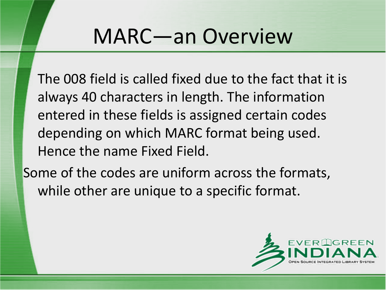The 008 field is called fixed due to the fact that it is always 40 characters in length. The information entered in these fields is assigned certain codes depending on which MARC format being used. Hence the name Fixed Field.

Some of the codes are uniform across the formats, while other are unique to a specific format.

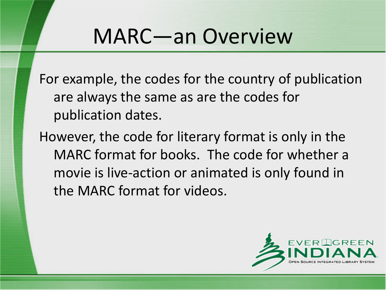For example, the codes for the country of publication are always the same as are the codes for publication dates.

However, the code for literary format is only in the MARC format for books. The code for whether a movie is live-action or animated is only found in the MARC format for videos.

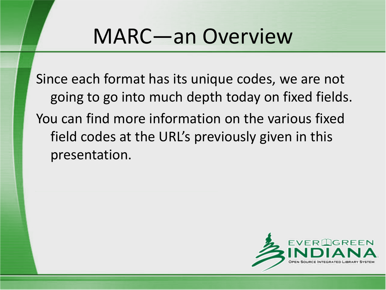Since each format has its unique codes, we are not going to go into much depth today on fixed fields. You can find more information on the various fixed field codes at the URL's previously given in this presentation.

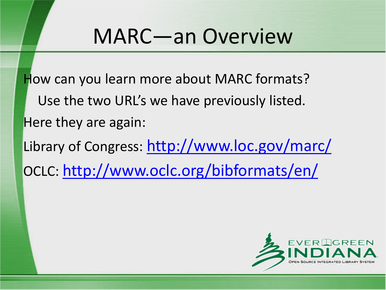How can you learn more about MARC formats? Use the two URL's we have previously listed. Here they are again: Library of Congress: <http://www.loc.gov/marc/> OCLC: <http://www.oclc.org/bibformats/en/>

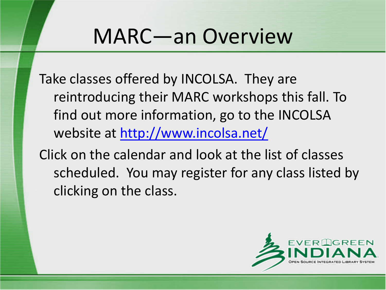Take classes offered by INCOLSA. They are reintroducing their MARC workshops this fall. To find out more information, go to the INCOLSA website at <http://www.incolsa.net/>

Click on the calendar and look at the list of classes scheduled. You may register for any class listed by clicking on the class.

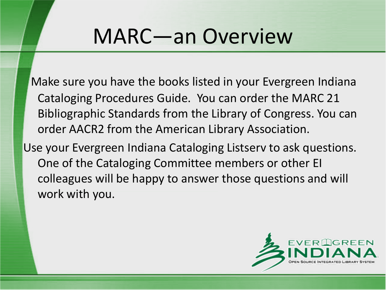Make sure you have the books listed in your Evergreen Indiana Cataloging Procedures Guide. You can order the MARC 21 Bibliographic Standards from the Library of Congress. You can order AACR2 from the American Library Association.

Use your Evergreen Indiana Cataloging Listserv to ask questions. One of the Cataloging Committee members or other EI colleagues will be happy to answer those questions and will work with you.